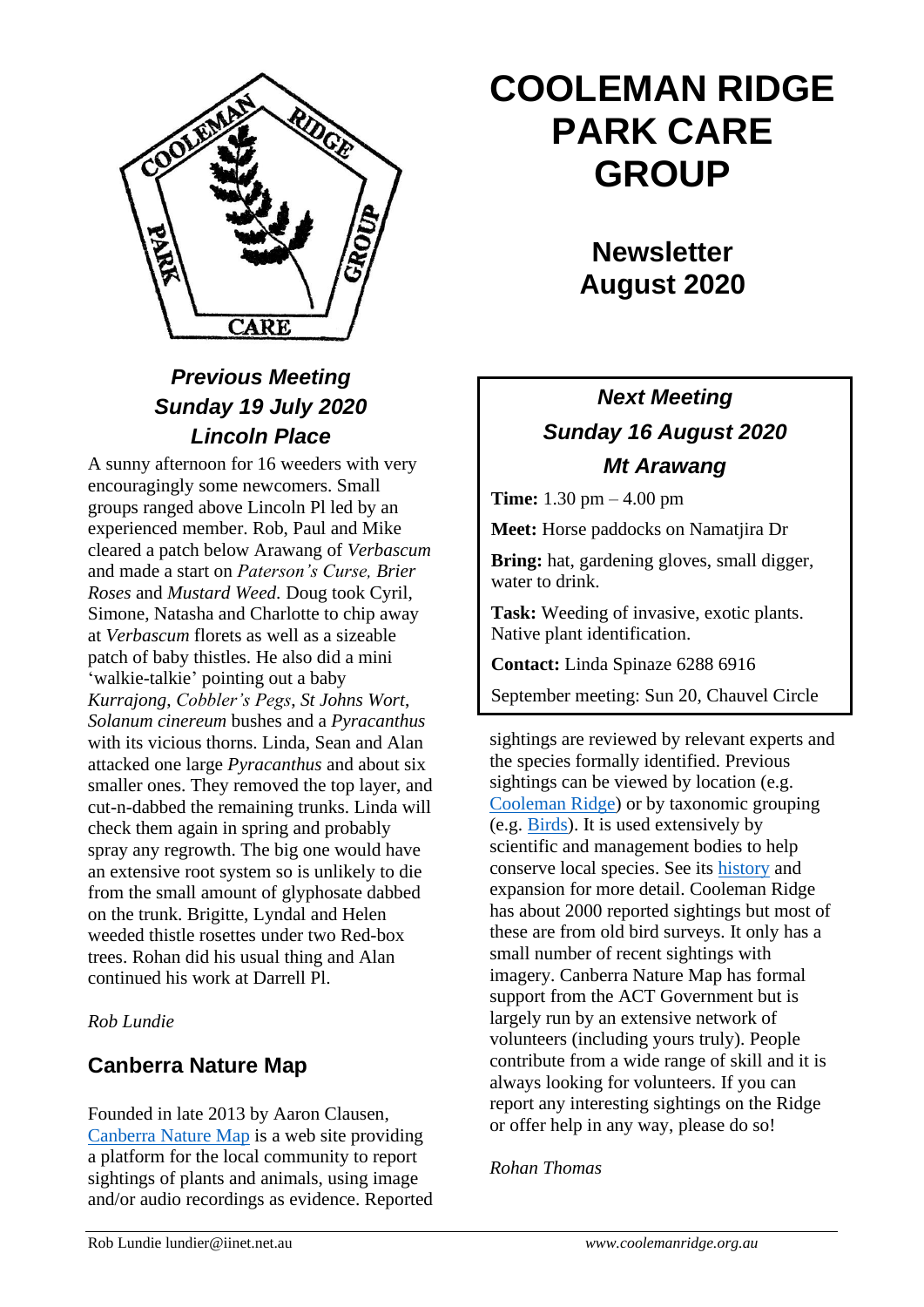

# *Previous Meeting Sunday 19 July 2020 Lincoln Place*

A sunny afternoon for 16 weeders with very encouragingly some newcomers. Small groups ranged above Lincoln Pl led by an experienced member. Rob, Paul and Mike cleared a patch below Arawang of *Verbascum*  and made a start on *Paterson's Curse, Brier Roses* and *Mustard Weed.* Doug took Cyril, Simone, Natasha and Charlotte to chip away at *Verbascum* florets as well as a sizeable patch of baby thistles. He also did a mini 'walkie-talkie' pointing out a baby *Kurrajong*, *Cobbler's Pegs*, *St Johns Wort*, *Solanum cinereum* bushes and a *Pyracanthus* with its vicious thorns. Linda, Sean and Alan attacked one large *Pyracanthus* and about six smaller ones. They removed the top layer, and cut-n-dabbed the remaining trunks. Linda will check them again in spring and probably spray any regrowth. The big one would have an extensive root system so is unlikely to die from the small amount of glyphosate dabbed on the trunk. Brigitte, Lyndal and Helen weeded thistle rosettes under two Red-box trees. Rohan did his usual thing and Alan continued his work at Darrell Pl.

#### *Rob Lundie*

### **Canberra Nature Map**

Founded in late 2013 by Aaron Clausen, [Canberra Nature Map](https://canberra.naturemapr.org/) is a web site providing a platform for the local community to report sightings of plants and animals, using image and/or audio recordings as evidence. Reported

# **COOLEMAN RIDGE PARK CARE GROUP**

**Newsletter August 2020** 

# *Next Meeting Sunday 16 August 2020 Mt Arawang*

**Time:** 1.30 pm – 4.00 pm

**Meet:** Horse paddocks on Namatjira Dr

**Bring:** hat, gardening gloves, small digger, water to drink.

**Task:** Weeding of invasive, exotic plants. Native plant identification.

**Contact:** Linda Spinaze 6288 6916

September meeting: Sun 20, Chauvel Circle

sightings are reviewed by relevant experts and the species formally identified. Previous sightings can be viewed by location (e.g. [Cooleman Ridge\)](https://canberra.naturemapr.org/Locations/23?ViewMode=Images) or by taxonomic grouping (e.g. [Birds\)](https://canberra.naturemapr.org/Categories/Guide/434). It is used extensively by scientific and management bodies to help conserve local species. See its [history](https://canberra.naturemapr.org/Content/42) and expansion for more detail. Cooleman Ridge has about 2000 reported sightings but most of these are from old bird surveys. It only has a small number of recent sightings with imagery. Canberra Nature Map has formal support from the ACT Government but is largely run by an extensive network of volunteers (including yours truly). People contribute from a wide range of skill and it is always looking for volunteers. If you can report any interesting sightings on the Ridge or offer help in any way, please do so!

#### *Rohan Thomas*